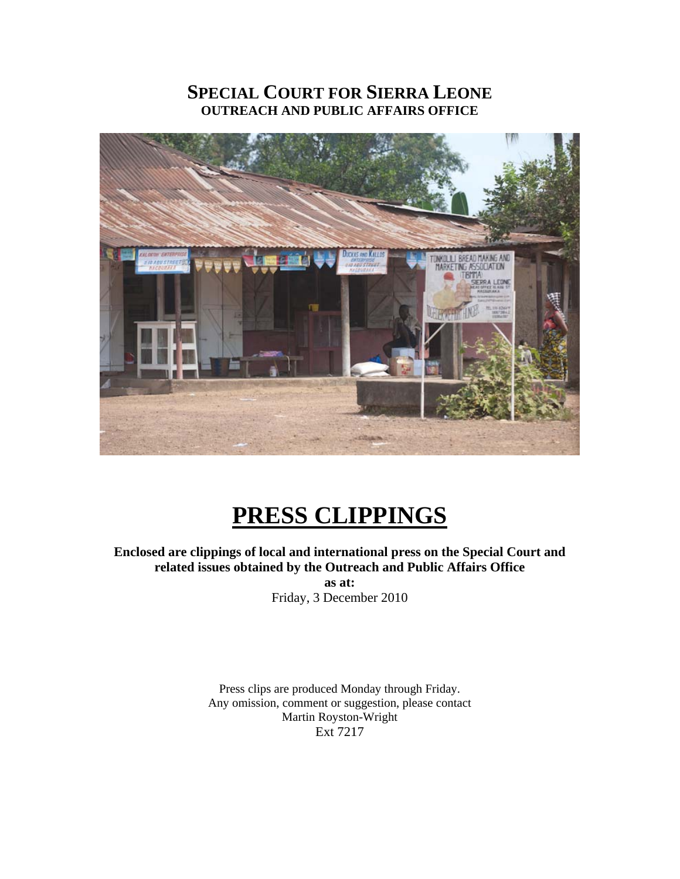# **SPECIAL COURT FOR SIERRA LEONE OUTREACH AND PUBLIC AFFAIRS OFFICE**



# **PRESS CLIPPINGS**

# **Enclosed are clippings of local and international press on the Special Court and related issues obtained by the Outreach and Public Affairs Office**

**as at:**  Friday, 3 December 2010

Press clips are produced Monday through Friday. Any omission, comment or suggestion, please contact Martin Royston-Wright Ext 7217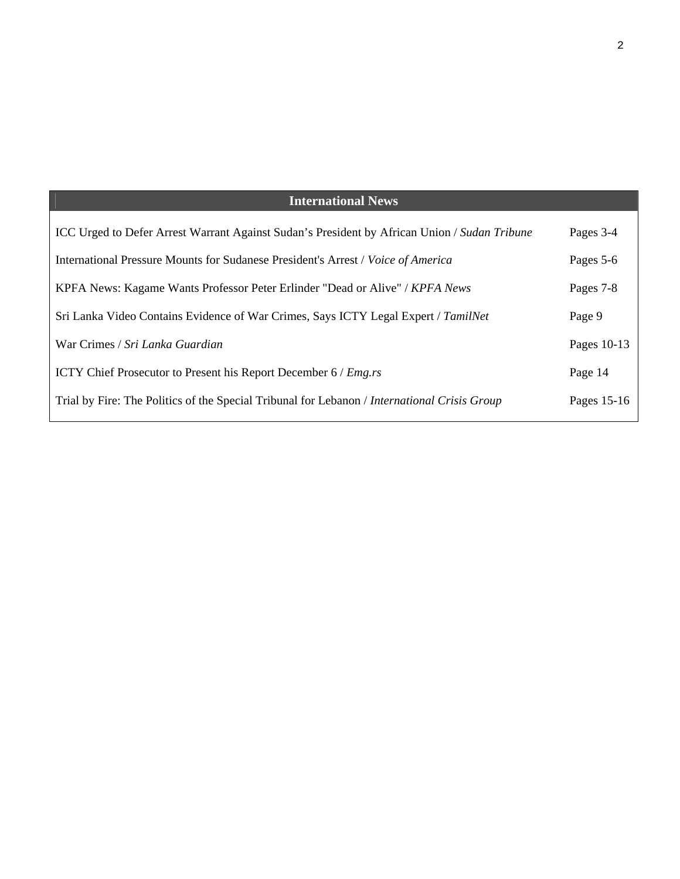# **International News**

| <b>ICC Urged to Defer Arrest Warrant Against Sudan's President by African Union / Sudan Tribune</b> | Pages 3-4   |
|-----------------------------------------------------------------------------------------------------|-------------|
| International Pressure Mounts for Sudanese President's Arrest / Voice of America                    | Pages 5-6   |
| KPFA News: Kagame Wants Professor Peter Erlinder "Dead or Alive" / KPFA News                        | Pages 7-8   |
| Sri Lanka Video Contains Evidence of War Crimes, Says ICTY Legal Expert / TamilNet                  | Page 9      |
| War Crimes / Sri Lanka Guardian                                                                     | Pages 10-13 |
| ICTY Chief Prosecutor to Present his Report December 6 / Emg.rs                                     | Page 14     |
| Trial by Fire: The Politics of the Special Tribunal for Lebanon / International Crisis Group        | Pages 15-16 |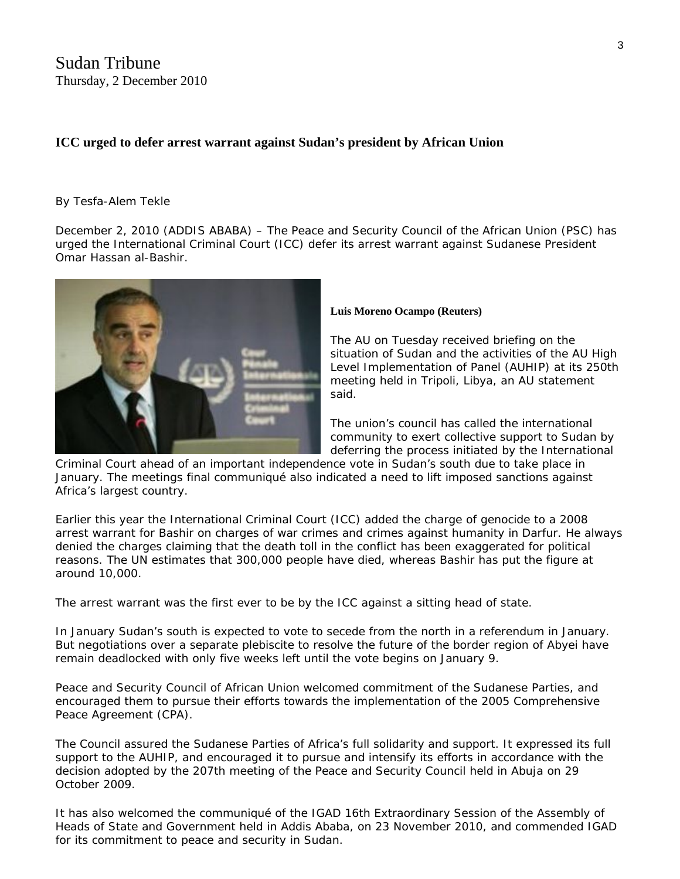# **ICC urged to defer arrest warrant against Sudan's president by African Union**

#### By Tesfa-Alem Tekle

December 2, 2010 (ADDIS ABABA) – The Peace and Security Council of the [Africa](http://www.sudantribune.com/+-Africa,075-+)n Union (PSC) has urged the International Criminal Court (ICC) defer its arrest warrant against Sudanese President Omar Hassan al-Bashir.



#### **Luis Moreno Ocampo (Reuters)**

The AU on Tuesday received briefing on the situation of Sudan and the activities of the AU High Level Implementation of Panel (AUHIP) at its 250th meeting held in Tripoli, Libya, an AU statement said.

The union's council has called the international community to exert collective support to Sudan by deferring the process initiated by the International

Criminal Court ahead of an important independence vote in Sudan's south due to take place in January. The meetings final communiqué also indicated a need to lift imposed sanctions against Africa's largest country.

Earlier this year the International Criminal Court (ICC) added the charge of genocide to a 2008 arrest warrant for Bashir on charges of war crimes and crimes against humanity in [Darfur](http://www.sudantribune.com/+-Darfur,012-+). He always denied the charges claiming that the death toll in the conflict has been exaggerated for political reasons. The UN estimates that 300,000 people have died, whereas Bashir has put the figure at around 10,000.

The arrest warrant was the first ever to be by the ICC against a sitting head of state.

In January [Sudan's south](http://www.sudantribune.com/+-South-Sudan,036-+) is expected to vote to secede from the north in a [referendum](http://www.sudantribune.com/+-Referendum,123-+) in January. But negotiations over a separate plebiscite to resolve the future of the border region of Abyei have remain deadlocked with only five weeks left until the vote begins on January 9.

Peace and Security Council of African Union welcomed commitment of the Sudanese Parties, and encouraged them to pursue their efforts towards the implementation of the 2005 Comprehensive Peace Agreement (CPA).

The Council assured the Sudanese Parties of Africa's full solidarity and support. It expressed its full support to the AUHIP, and encouraged it to pursue and intensify its efforts in accordance with the decision adopted by the 207th meeting of the Peace and Security Council held in Abuja on 29 October 2009.

It has also welcomed the communiqué of the IGAD 16th Extraordinary Session of the Assembly of Heads of State and Government held in Addis Ababa, on 23 November 2010, and commended IGAD for its commitment to peace and security in Sudan.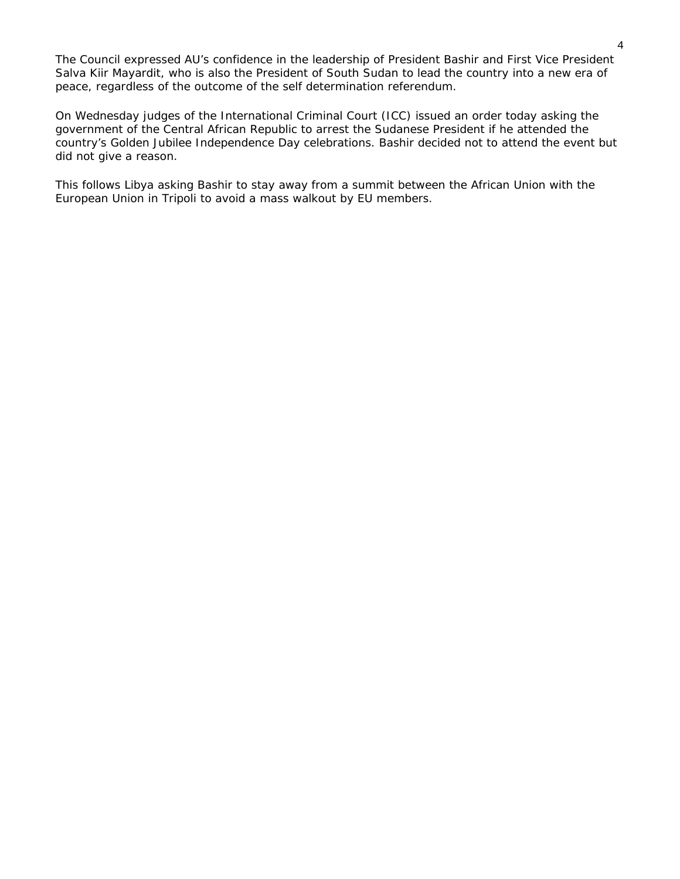The Council expressed AU's confidence in the leadership of President Bashir and First Vice President Salva Kiir Mayardit, who is also the President of South Sudan to lead the country into a new era of peace, regardless of the outcome of the self determination referendum.

On Wednesday judges of the International Criminal Court (ICC) issued an order today asking the government of the Central African Republic to [arrest the Sudanese President](http://www.sudantribune.com/France-pressed-CAR-on-disinviting,37138) if he attended the country's Golden Jubilee Independence Day celebrations. Bashir decided not to attend the event but did not give a reason.

This follows Libya asking [Bashir to stay away](http://www.sudantribune.com/Sudan-s-NCP-describes-the-AU-as-a,37109) from a summit between the African Union with the European Union in Tripoli to avoid a mass walkout by EU members.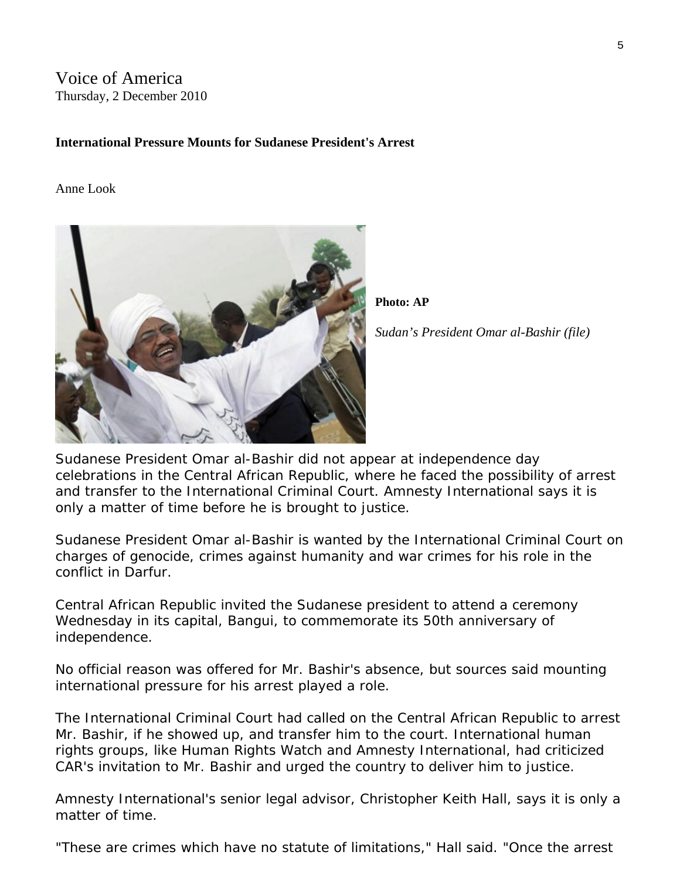# Voice of America Thursday, 2 December 2010

# **International Pressure Mounts for Sudanese President's Arrest**

#### Anne Look



**Photo: AP** 

*Sudan's President Omar al-Bashir (file)* 

Sudanese President Omar al-Bashir did not appear at independence day celebrations in the Central African Republic, where he faced the possibility of arrest and transfer to the International Criminal Court. Amnesty International says it is only a matter of time before he is brought to justice.

Sudanese President Omar al-Bashir is wanted by the International Criminal Court on charges of genocide, crimes against humanity and war crimes for his role in the conflict in Darfur.

Central African Republic invited the Sudanese president to attend a ceremony Wednesday in its capital, Bangui, to commemorate its 50th anniversary of independence.

No official reason was offered for Mr. Bashir's absence, but sources said mounting international pressure for his arrest played a role.

The International Criminal Court had called on the Central African Republic to arrest Mr. Bashir, if he showed up, and transfer him to the court. International human rights groups, like Human Rights Watch and Amnesty International, had criticized CAR's invitation to Mr. Bashir and urged the country to deliver him to justice.

Amnesty International's senior legal advisor, Christopher Keith Hall, says it is only a matter of time.

"These are crimes which have no statute of limitations," Hall said. "Once the arrest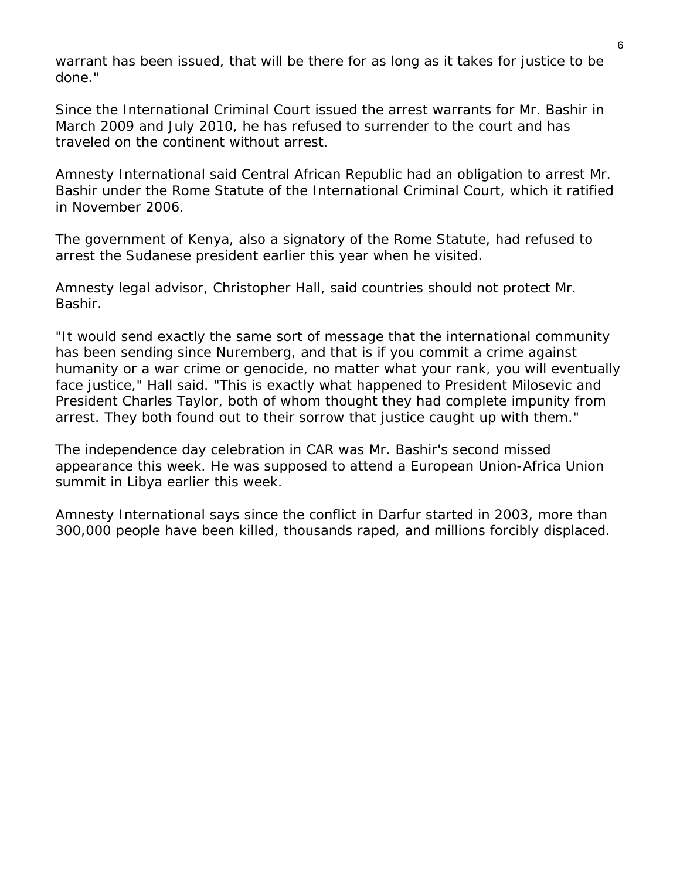warrant has been issued, that will be there for as long as it takes for justice to be done."

Since the International Criminal Court issued the arrest warrants for Mr. Bashir in March 2009 and July 2010, he has refused to surrender to the court and has traveled on the continent without arrest.

Amnesty International said Central African Republic had an obligation to arrest Mr. Bashir under the Rome Statute of the International Criminal Court, which it ratified in November 2006.

The government of Kenya, also a signatory of the Rome Statute, had refused to arrest the Sudanese president earlier this year when he visited.

Amnesty legal advisor, Christopher Hall, said countries should not protect Mr. Bashir.

"It would send exactly the same sort of message that the international community has been sending since Nuremberg, and that is if you commit a crime against humanity or a war crime or genocide, no matter what your rank, you will eventually face justice," Hall said. "This is exactly what happened to President Milosevic and President Charles Taylor, both of whom thought they had complete impunity from arrest. They both found out to their sorrow that justice caught up with them."

The independence day celebration in CAR was Mr. Bashir's second missed appearance this week. He was supposed to attend a European Union-Africa Union summit in Libya earlier this week.

Amnesty International says since the conflict in Darfur started in 2003, more than 300,000 people have been killed, thousands raped, and millions forcibly displaced.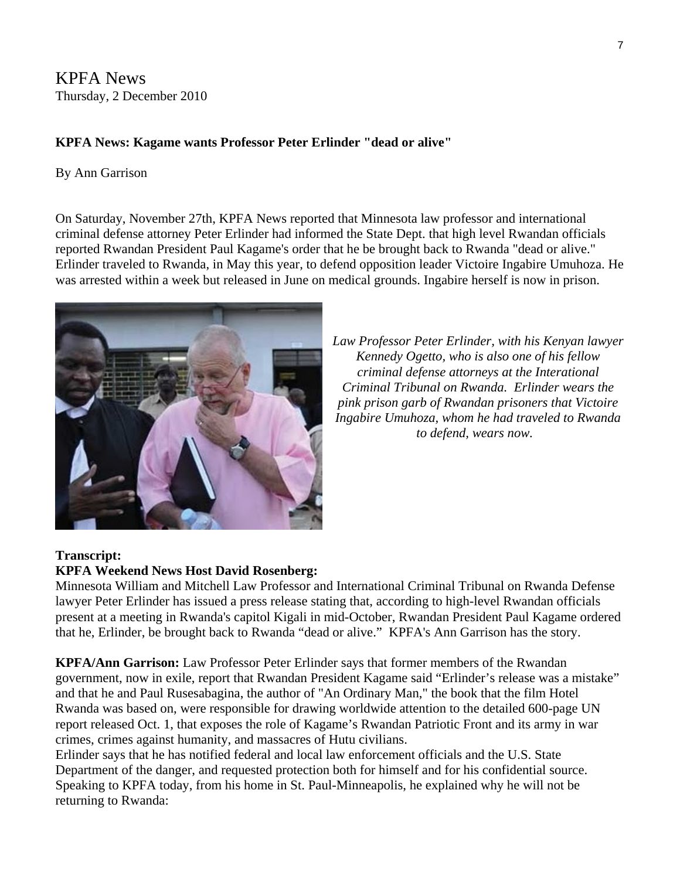KPFA News Thursday, 2 December 2010

# **KPFA News: Kagame wants Professor Peter Erlinder "dead or alive"**

# By Ann Garrison

On Saturday, November 27th, KPFA News reported that Minnesota law professor and international criminal defense attorney Peter Erlinder had informed the State Dept. that high level Rwandan officials reported Rwandan President Paul Kagame's order that he be brought back to Rwanda "dead or alive." Erlinder traveled to Rwanda, in May this year, to defend opposition leader Victoire Ingabire Umuhoza. He was arrested within a week but released in June on medical grounds. Ingabire herself is now in prison.



*Law Professor Peter Erlinder, with his Kenyan lawyer Kennedy Ogetto, who is also one of his fellow criminal defense attorneys at the Interational Criminal Tribunal on Rwanda. Erlinder wears the pink prison garb of Rwandan prisoners that [Victoire](http://sfbayview.com/2010/kagames-prisons-courts-and-killing-spots-ingabire-the-netherlands-and-the-west/)  [Ingabire Umuhoza, whom he had traveled to Rwanda](http://sfbayview.com/2010/kagames-prisons-courts-and-killing-spots-ingabire-the-netherlands-and-the-west/)  [to defend, wears now](http://sfbayview.com/2010/kagames-prisons-courts-and-killing-spots-ingabire-the-netherlands-and-the-west/).* 

# **Transcript:**

# **KPFA Weekend News Host David Rosenberg:**

Minnesota William and Mitchell Law Professor and International Criminal Tribunal on Rwanda Defense lawyer Peter Erlinder has issued a press release stating that, according to high-level Rwandan officials present at a meeting in Rwanda's capitol Kigali in mid-October, Rwandan President Paul Kagame ordered that he, Erlinder, be brought back to Rwanda "dead or alive." KPFA's Ann Garrison has the story.

**KPFA/Ann Garrison:** Law Professor Peter Erlinder says that former members of the Rwandan government, now in exile, report that Rwandan President Kagame said "Erlinder's release was a mistake" and that he and Paul Rusesabagina, the author of "An Ordinary Man," the book that the film Hotel Rwanda was based on, were responsible for drawing worldwide attention to the detailed 600-page UN report released Oct. 1, that exposes the role of Kagame's Rwandan Patriotic Front and its army in war crimes, crimes against humanity, and massacres of Hutu civilians.

Erlinder says that he has notified federal and local law enforcement officials and the U.S. State Department of the danger, and requested protection both for himself and for his confidential source. Speaking to KPFA today, from his home in St. Paul-Minneapolis, he explained why he will not be returning to Rwanda: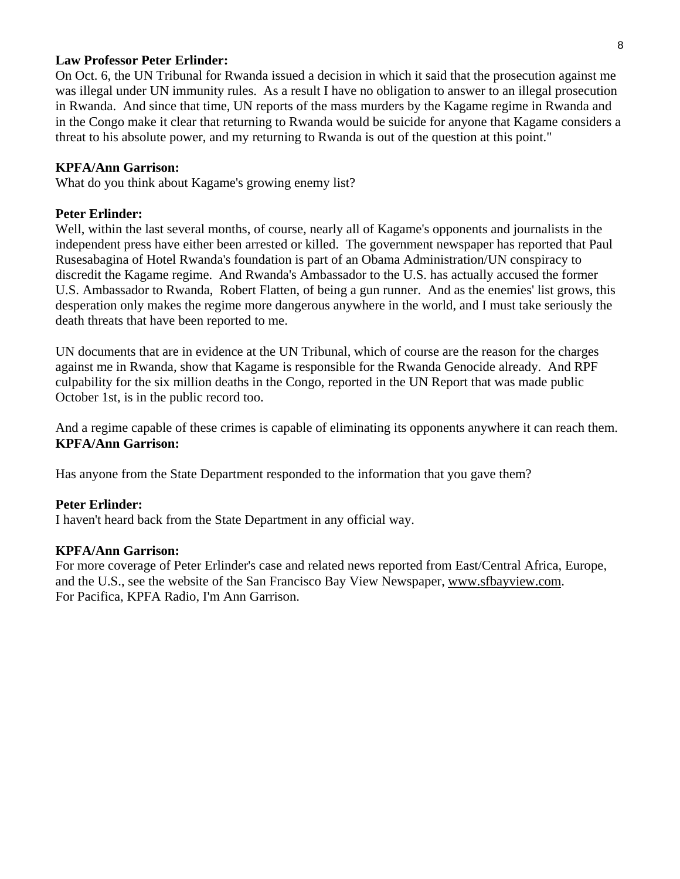#### **Law Professor Peter Erlinder:**

On Oct. 6, the UN Tribunal for Rwanda issued a decision in which it said that the prosecution against me was illegal under UN immunity rules. As a result I have no obligation to answer to an illegal prosecution in Rwanda. And since that time, UN reports of the mass murders by the Kagame regime in Rwanda and in the Congo make it clear that returning to Rwanda would be suicide for anyone that Kagame considers a threat to his absolute power, and my returning to Rwanda is out of the question at this point."

#### **KPFA/Ann Garrison:**

What do you think about Kagame's growing enemy list?

#### **Peter Erlinder:**

Well, within the last several months, of course, nearly all of Kagame's opponents and journalists in the independent press have either been arrested or killed. The government newspaper has reported that Paul Rusesabagina of Hotel Rwanda's foundation is part of an Obama Administration/UN conspiracy to discredit the Kagame regime. And Rwanda's Ambassador to the U.S. has actually accused the former U.S. Ambassador to Rwanda, Robert Flatten, of being a gun runner. And as the enemies' list grows, this desperation only makes the regime more dangerous anywhere in the world, and I must take seriously the death threats that have been reported to me.

UN documents that are in evidence at the UN Tribunal, which of course are the reason for the charges against me in Rwanda, show that Kagame is responsible for the Rwanda Genocide already. And RPF culpability for the six million deaths in the Congo, reported in the UN Report that was made public October 1st, is in the public record too.

And a regime capable of these crimes is capable of eliminating its opponents anywhere it can reach them. **KPFA/Ann Garrison:**

Has anyone from the State Department responded to the information that you gave them?

#### **Peter Erlinder:**

I haven't heard back from the State Department in any official way.

#### **KPFA/Ann Garrison:**

For more coverage of Peter Erlinder's case and related news reported from East/Central Africa, Europe, and the U.S., see the website of the San Francisco Bay View Newspaper, [www.sfbayview.com.](http://www.sfbayview.com/) For Pacifica, KPFA Radio, I'm Ann Garrison.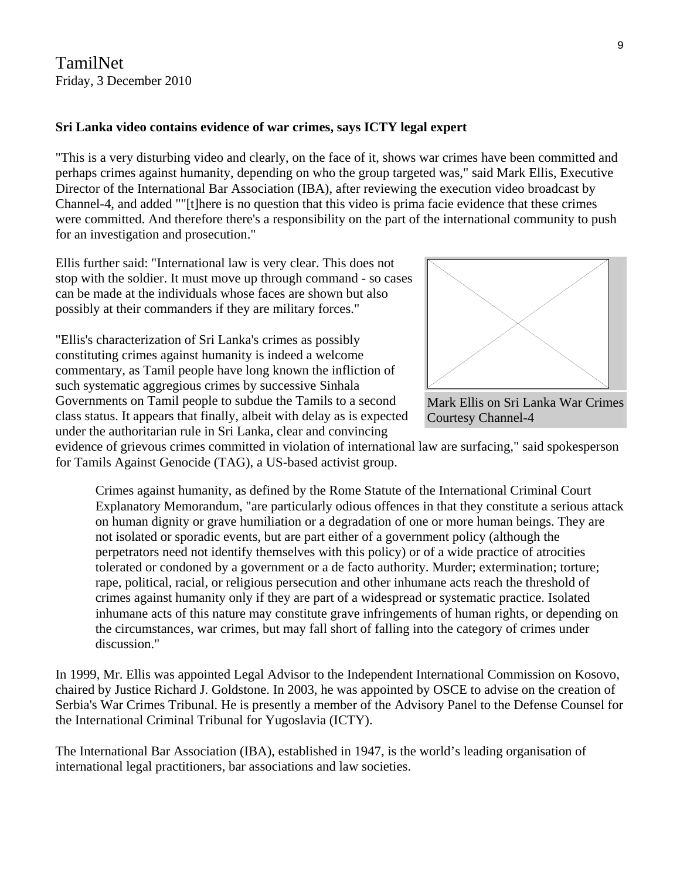TamilNet Friday, 3 December 2010

### **Sri Lanka video contains evidence of war crimes, says ICTY legal expert**

"This is a very disturbing video and clearly, on the face of it, shows war crimes have been committed and perhaps crimes against humanity, depending on who the group targeted was," said Mark Ellis, Executive Director of the International Bar Association (IBA), after reviewing the execution video broadcast by Channel-4, and added ""[t]here is no question that this video is prima facie evidence that these crimes were committed. And therefore there's a responsibility on the part of the international community to push for an investigation and prosecution."

Ellis further said: "International law is very clear. This does not stop with the soldier. It must move up through command - so cases can be made at the individuals whose faces are shown but also possibly at their commanders if they are military forces."

"Ellis's characterization of Sri Lanka's crimes as possibly constituting crimes against humanity is indeed a welcome commentary, as Tamil people have long known the infliction of such systematic aggregious crimes by successive Sinhala Governments on Tamil people to subdue the Tamils to a second class status. It appears that finally, albeit with delay as is expected under the authoritarian rule in Sri Lanka, clear and convincing



Mark Ellis on Sri Lanka War Crimes Courtesy Channel-4

evidence of grievous crimes committed in violation of international law are surfacing," said spokesperson for Tamils Against Genocide (TAG), a US-based activist group.

Crimes against humanity, as defined by the Rome Statute of the International Criminal Court Explanatory Memorandum, "are particularly odious offences in that they constitute a serious attack on human dignity or grave humiliation or a degradation of one or more human beings. They are not isolated or sporadic events, but are part either of a government policy (although the perpetrators need not identify themselves with this policy) or of a wide practice of atrocities tolerated or condoned by a government or a de facto authority. Murder; extermination; torture; rape, political, racial, or religious persecution and other inhumane acts reach the threshold of crimes against humanity only if they are part of a widespread or systematic practice. Isolated inhumane acts of this nature may constitute grave infringements of human rights, or depending on the circumstances, war crimes, but may fall short of falling into the category of crimes under discussion."

In 1999, Mr. Ellis was appointed Legal Advisor to the Independent International Commission on Kosovo, chaired by Justice Richard J. Goldstone. In 2003, he was appointed by OSCE to advise on the creation of Serbia's War Crimes Tribunal. He is presently a member of the Advisory Panel to the Defense Counsel for the International Criminal Tribunal for Yugoslavia (ICTY).

The International Bar Association (IBA), established in 1947, is the world's leading organisation of international legal practitioners, bar associations and law societies.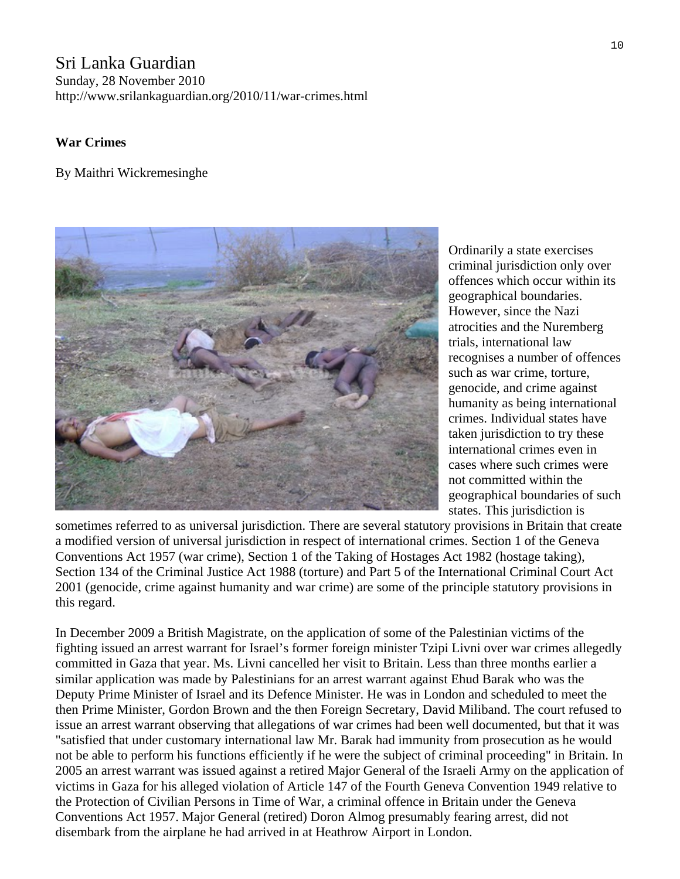# Sri Lanka Guardian Sunday, 28 November 2010 http://www.srilankaguardian.org/2010/11/war-crimes.html

# **War Crimes**

# By Maithri Wickremesinghe



Ordinarily a state exercises criminal jurisdiction only over offences which occur within its geographical boundaries. However, since the Nazi atrocities and the Nuremberg trials, international law recognises a number of offences such as war crime, torture, genocide, and crime against humanity as being international crimes. Individual states have taken jurisdiction to try these international crimes even in cases where such crimes were not committed within the geographical boundaries of such states. This jurisdiction is

sometimes referred to as universal jurisdiction. There are several statutory provisions in Britain that create a modified version of universal jurisdiction in respect of international crimes. Section 1 of the Geneva Conventions Act 1957 (war crime), Section 1 of the Taking of Hostages Act 1982 (hostage taking), Section 134 of the Criminal Justice Act 1988 (torture) and Part 5 of the International Criminal Court Act 2001 (genocide, crime against humanity and war crime) are some of the principle statutory provisions in this regard.

In December 2009 a British Magistrate, on the application of some of the Palestinian victims of the fighting issued an arrest warrant for Israel's former foreign minister Tzipi Livni over war crimes allegedly committed in Gaza that year. Ms. Livni cancelled her visit to Britain. Less than three months earlier a similar application was made by Palestinians for an arrest warrant against Ehud Barak who was the Deputy Prime Minister of Israel and its Defence Minister. He was in London and scheduled to meet the then Prime Minister, Gordon Brown and the then Foreign Secretary, David Miliband. The court refused to issue an arrest warrant observing that allegations of war crimes had been well documented, but that it was "satisfied that under customary international law Mr. Barak had immunity from prosecution as he would not be able to perform his functions efficiently if he were the subject of criminal proceeding" in Britain. In 2005 an arrest warrant was issued against a retired Major General of the Israeli Army on the application of victims in Gaza for his alleged violation of Article 147 of the Fourth Geneva Convention 1949 relative to the Protection of Civilian Persons in Time of War, a criminal offence in Britain under the Geneva Conventions Act 1957. Major General (retired) Doron Almog presumably fearing arrest, did not disembark from the airplane he had arrived in at Heathrow Airport in London.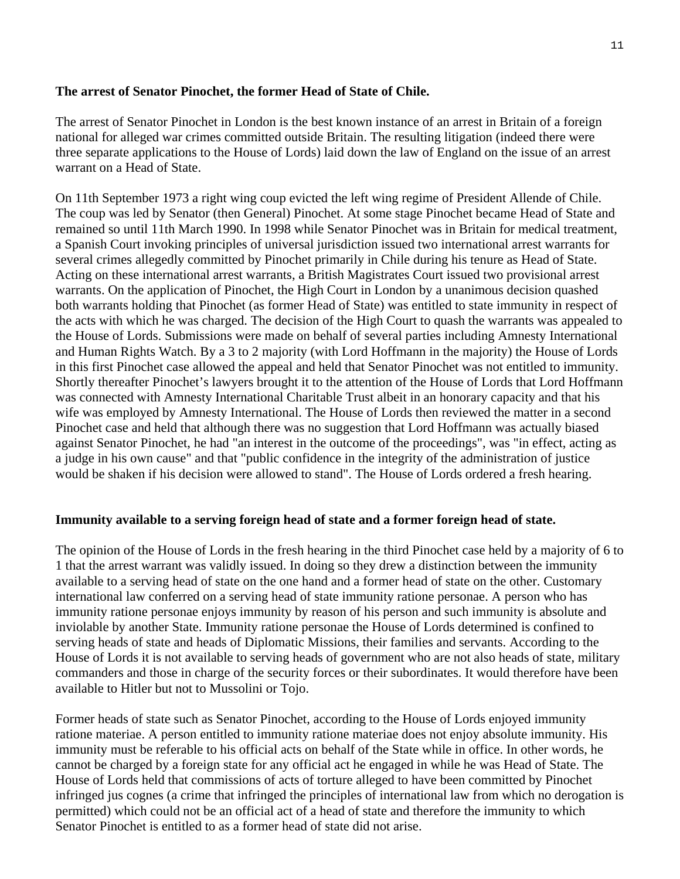# **The arrest of Senator Pinochet, the former Head of State of Chile.**

The arrest of Senator Pinochet in London is the best known instance of an arrest in Britain of a foreign national for alleged war crimes committed outside Britain. The resulting litigation (indeed there were three separate applications to the House of Lords) laid down the law of England on the issue of an arrest warrant on a Head of State.

On 11th September 1973 a right wing coup evicted the left wing regime of President Allende of Chile. The coup was led by Senator (then General) Pinochet. At some stage Pinochet became Head of State and remained so until 11th March 1990. In 1998 while Senator Pinochet was in Britain for medical treatment, a Spanish Court invoking principles of universal jurisdiction issued two international arrest warrants for several crimes allegedly committed by Pinochet primarily in Chile during his tenure as Head of State. Acting on these international arrest warrants, a British Magistrates Court issued two provisional arrest warrants. On the application of Pinochet, the High Court in London by a unanimous decision quashed both warrants holding that Pinochet (as former Head of State) was entitled to state immunity in respect of the acts with which he was charged. The decision of the High Court to quash the warrants was appealed to the House of Lords. Submissions were made on behalf of several parties including Amnesty International and Human Rights Watch. By a 3 to 2 majority (with Lord Hoffmann in the majority) the House of Lords in this first Pinochet case allowed the appeal and held that Senator Pinochet was not entitled to immunity. Shortly thereafter Pinochet's lawyers brought it to the attention of the House of Lords that Lord Hoffmann was connected with Amnesty International Charitable Trust albeit in an honorary capacity and that his wife was employed by Amnesty International. The House of Lords then reviewed the matter in a second Pinochet case and held that although there was no suggestion that Lord Hoffmann was actually biased against Senator Pinochet, he had "an interest in the outcome of the proceedings", was "in effect, acting as a judge in his own cause" and that "public confidence in the integrity of the administration of justice would be shaken if his decision were allowed to stand". The House of Lords ordered a fresh hearing.

### **Immunity available to a serving foreign head of state and a former foreign head of state.**

The opinion of the House of Lords in the fresh hearing in the third Pinochet case held by a majority of 6 to 1 that the arrest warrant was validly issued. In doing so they drew a distinction between the immunity available to a serving head of state on the one hand and a former head of state on the other. Customary international law conferred on a serving head of state immunity ratione personae. A person who has immunity ratione personae enjoys immunity by reason of his person and such immunity is absolute and inviolable by another State. Immunity ratione personae the House of Lords determined is confined to serving heads of state and heads of Diplomatic Missions, their families and servants. According to the House of Lords it is not available to serving heads of government who are not also heads of state, military commanders and those in charge of the security forces or their subordinates. It would therefore have been available to Hitler but not to Mussolini or Tojo.

Former heads of state such as Senator Pinochet, according to the House of Lords enjoyed immunity ratione materiae. A person entitled to immunity ratione materiae does not enjoy absolute immunity. His immunity must be referable to his official acts on behalf of the State while in office. In other words, he cannot be charged by a foreign state for any official act he engaged in while he was Head of State. The House of Lords held that commissions of acts of torture alleged to have been committed by Pinochet infringed jus cognes (a crime that infringed the principles of international law from which no derogation is permitted) which could not be an official act of a head of state and therefore the immunity to which Senator Pinochet is entitled to as a former head of state did not arise.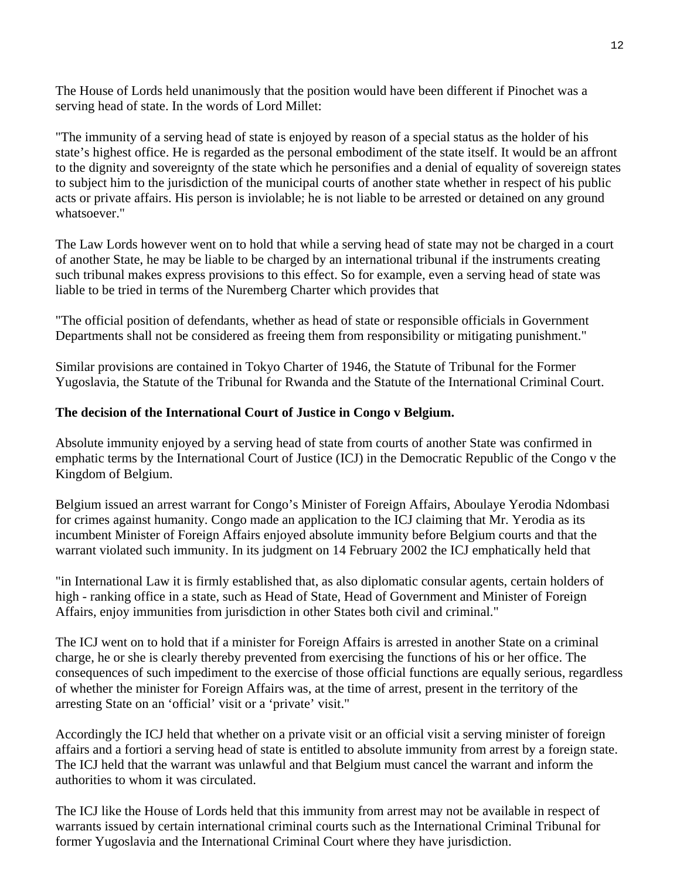The House of Lords held unanimously that the position would have been different if Pinochet was a serving head of state. In the words of Lord Millet:

"The immunity of a serving head of state is enjoyed by reason of a special status as the holder of his state's highest office. He is regarded as the personal embodiment of the state itself. It would be an affront to the dignity and sovereignty of the state which he personifies and a denial of equality of sovereign states to subject him to the jurisdiction of the municipal courts of another state whether in respect of his public acts or private affairs. His person is inviolable; he is not liable to be arrested or detained on any ground whatsoever."

The Law Lords however went on to hold that while a serving head of state may not be charged in a court of another State, he may be liable to be charged by an international tribunal if the instruments creating such tribunal makes express provisions to this effect. So for example, even a serving head of state was liable to be tried in terms of the Nuremberg Charter which provides that

"The official position of defendants, whether as head of state or responsible officials in Government Departments shall not be considered as freeing them from responsibility or mitigating punishment."

Similar provisions are contained in Tokyo Charter of 1946, the Statute of Tribunal for the Former Yugoslavia, the Statute of the Tribunal for Rwanda and the Statute of the International Criminal Court.

# **The decision of the International Court of Justice in Congo v Belgium.**

Absolute immunity enjoyed by a serving head of state from courts of another State was confirmed in emphatic terms by the International Court of Justice (ICJ) in the Democratic Republic of the Congo v the Kingdom of Belgium.

Belgium issued an arrest warrant for Congo's Minister of Foreign Affairs, Aboulaye Yerodia Ndombasi for crimes against humanity. Congo made an application to the ICJ claiming that Mr. Yerodia as its incumbent Minister of Foreign Affairs enjoyed absolute immunity before Belgium courts and that the warrant violated such immunity. In its judgment on 14 February 2002 the ICJ emphatically held that

"in International Law it is firmly established that, as also diplomatic consular agents, certain holders of high - ranking office in a state, such as Head of State, Head of Government and Minister of Foreign Affairs, enjoy immunities from jurisdiction in other States both civil and criminal."

The ICJ went on to hold that if a minister for Foreign Affairs is arrested in another State on a criminal charge, he or she is clearly thereby prevented from exercising the functions of his or her office. The consequences of such impediment to the exercise of those official functions are equally serious, regardless of whether the minister for Foreign Affairs was, at the time of arrest, present in the territory of the arresting State on an 'official' visit or a 'private' visit."

Accordingly the ICJ held that whether on a private visit or an official visit a serving minister of foreign affairs and a fortiori a serving head of state is entitled to absolute immunity from arrest by a foreign state. The ICJ held that the warrant was unlawful and that Belgium must cancel the warrant and inform the authorities to whom it was circulated.

The ICJ like the House of Lords held that this immunity from arrest may not be available in respect of warrants issued by certain international criminal courts such as the International Criminal Tribunal for former Yugoslavia and the International Criminal Court where they have jurisdiction.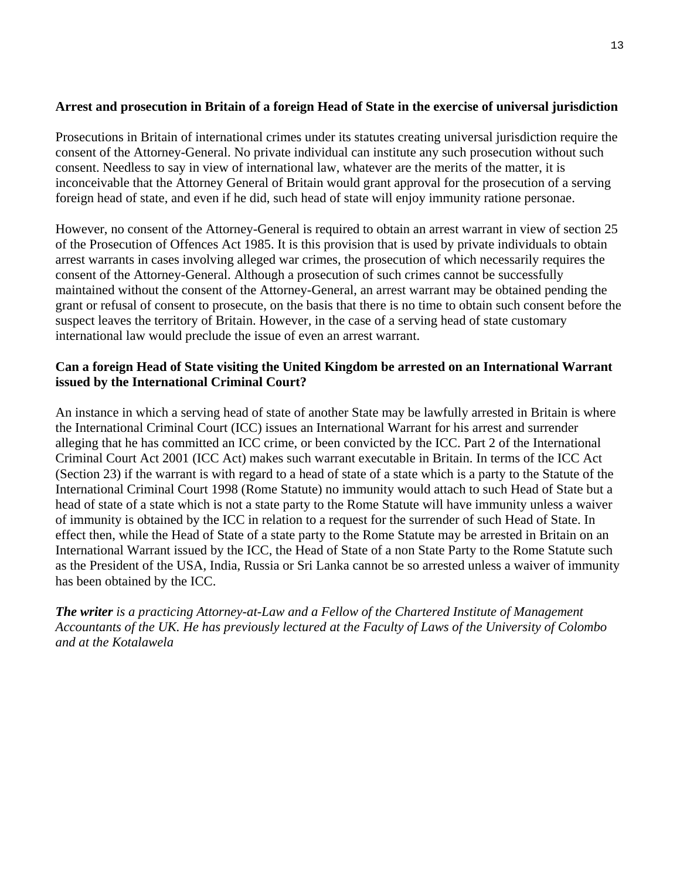# **Arrest and prosecution in Britain of a foreign Head of State in the exercise of universal jurisdiction**

Prosecutions in Britain of international crimes under its statutes creating universal jurisdiction require the consent of the Attorney-General. No private individual can institute any such prosecution without such consent. Needless to say in view of international law, whatever are the merits of the matter, it is inconceivable that the Attorney General of Britain would grant approval for the prosecution of a serving foreign head of state, and even if he did, such head of state will enjoy immunity ratione personae.

However, no consent of the Attorney-General is required to obtain an arrest warrant in view of section 25 of the Prosecution of Offences Act 1985. It is this provision that is used by private individuals to obtain arrest warrants in cases involving alleged war crimes, the prosecution of which necessarily requires the consent of the Attorney-General. Although a prosecution of such crimes cannot be successfully maintained without the consent of the Attorney-General, an arrest warrant may be obtained pending the grant or refusal of consent to prosecute, on the basis that there is no time to obtain such consent before the suspect leaves the territory of Britain. However, in the case of a serving head of state customary international law would preclude the issue of even an arrest warrant.

# **Can a foreign Head of State visiting the United Kingdom be arrested on an International Warrant issued by the International Criminal Court?**

An instance in which a serving head of state of another State may be lawfully arrested in Britain is where the International Criminal Court (ICC) issues an International Warrant for his arrest and surrender alleging that he has committed an ICC crime, or been convicted by the ICC. Part 2 of the International Criminal Court Act 2001 (ICC Act) makes such warrant executable in Britain. In terms of the ICC Act (Section 23) if the warrant is with regard to a head of state of a state which is a party to the Statute of the International Criminal Court 1998 (Rome Statute) no immunity would attach to such Head of State but a head of state of a state which is not a state party to the Rome Statute will have immunity unless a waiver of immunity is obtained by the ICC in relation to a request for the surrender of such Head of State. In effect then, while the Head of State of a state party to the Rome Statute may be arrested in Britain on an International Warrant issued by the ICC, the Head of State of a non State Party to the Rome Statute such as the President of the USA, India, Russia or Sri Lanka cannot be so arrested unless a waiver of immunity has been obtained by the ICC.

*The writer is a practicing Attorney-at-Law and a Fellow of the Chartered Institute of Management Accountants of the UK. He has previously lectured at the Faculty of Laws of the University of Colombo and at the Kotalawela*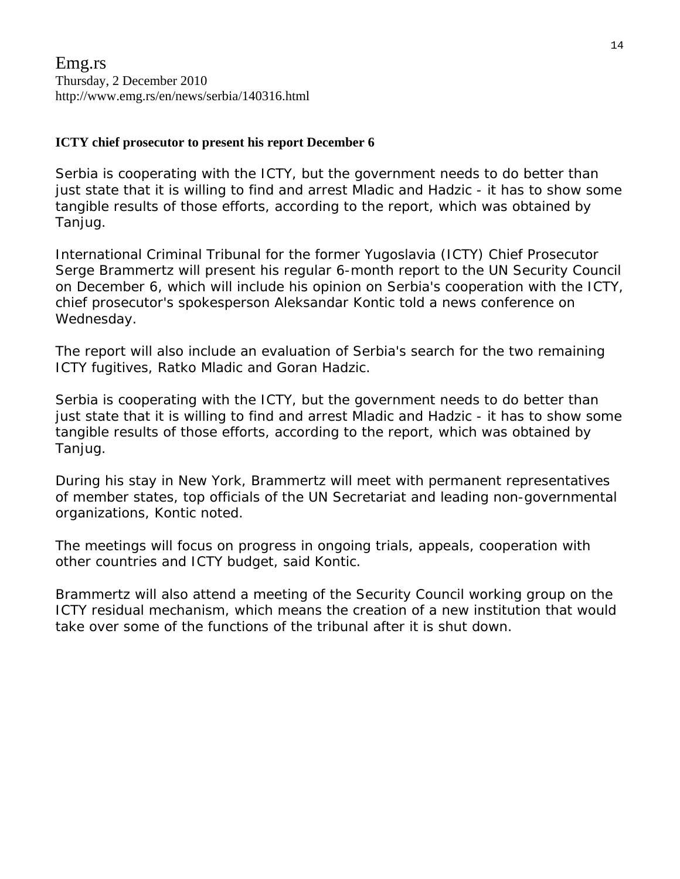# **ICTY chief prosecutor to present his report December 6**

Serbia is cooperating with the ICTY, but the government needs to do better than just state that it is willing to find and arrest Mladic and Hadzic - it has to show some tangible results of those efforts, according to the report, which was obtained by Tanjug.

International Criminal Tribunal for the former Yugoslavia (ICTY) Chief Prosecutor Serge Brammertz will present his regular 6-month report to the UN Security Council on December 6, which will include his opinion on Serbia's cooperation with the ICTY, chief prosecutor's spokesperson Aleksandar Kontic told a news conference on Wednesday.

The report will also include an evaluation of Serbia's search for the two remaining ICTY fugitives, Ratko Mladic and Goran Hadzic.

Serbia is cooperating with the ICTY, but the government needs to do better than just state that it is willing to find and arrest Mladic and Hadzic - it has to show some tangible results of those efforts, according to the report, which was obtained by Tanjug.

During his stay in New York, Brammertz will meet with permanent representatives of member states, top officials of the UN Secretariat and leading non-governmental organizations, Kontic noted.

The meetings will focus on progress in ongoing trials, appeals, cooperation with other countries and ICTY budget, said Kontic.

Brammertz will also attend a meeting of the Security Council working group on the ICTY residual mechanism, which means the creation of a new institution that would take over some of the functions of the tribunal after it is shut down.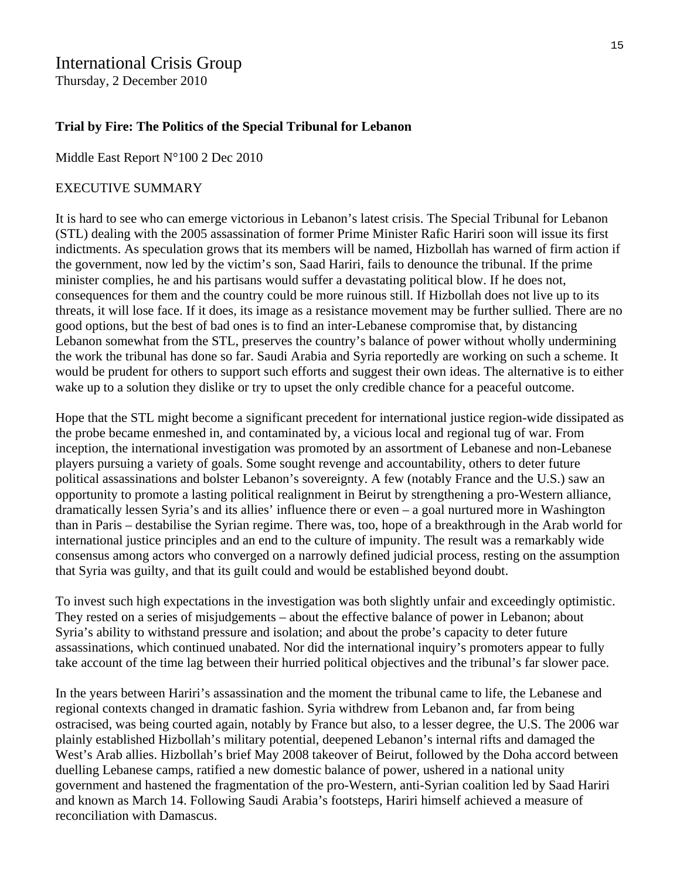# International Crisis Group

Thursday, 2 December 2010

# **Trial by Fire: The Politics of the Special Tribunal for Lebanon**

Middle East Report N°100 2 Dec 2010

#### EXECUTIVE SUMMARY

It is hard to see who can emerge victorious in Lebanon's latest crisis. The Special Tribunal for Lebanon (STL) dealing with the 2005 assassination of former Prime Minister Rafic Hariri soon will issue its first indictments. As speculation grows that its members will be named, Hizbollah has warned of firm action if the government, now led by the victim's son, Saad Hariri, fails to denounce the tribunal. If the prime minister complies, he and his partisans would suffer a devastating political blow. If he does not, consequences for them and the country could be more ruinous still. If Hizbollah does not live up to its threats, it will lose face. If it does, its image as a resistance movement may be further sullied. There are no good options, but the best of bad ones is to find an inter-Lebanese compromise that, by distancing Lebanon somewhat from the STL, preserves the country's balance of power without wholly undermining the work the tribunal has done so far. Saudi Arabia and Syria reportedly are working on such a scheme. It would be prudent for others to support such efforts and suggest their own ideas. The alternative is to either wake up to a solution they dislike or try to upset the only credible chance for a peaceful outcome.

Hope that the STL might become a significant precedent for international justice region-wide dissipated as the probe became enmeshed in, and contaminated by, a vicious local and regional tug of war. From inception, the international investigation was promoted by an assortment of Lebanese and non-Lebanese players pursuing a variety of goals. Some sought revenge and accountability, others to deter future political assassinations and bolster Lebanon's sovereignty. A few (notably France and the U.S.) saw an opportunity to promote a lasting political realignment in Beirut by strengthening a pro-Western alliance, dramatically lessen Syria's and its allies' influence there or even – a goal nurtured more in Washington than in Paris – destabilise the Syrian regime. There was, too, hope of a breakthrough in the Arab world for international justice principles and an end to the culture of impunity. The result was a remarkably wide consensus among actors who converged on a narrowly defined judicial process, resting on the assumption that Syria was guilty, and that its guilt could and would be established beyond doubt.

To invest such high expectations in the investigation was both slightly unfair and exceedingly optimistic. They rested on a series of misjudgements – about the effective balance of power in Lebanon; about Syria's ability to withstand pressure and isolation; and about the probe's capacity to deter future assassinations, which continued unabated. Nor did the international inquiry's promoters appear to fully take account of the time lag between their hurried political objectives and the tribunal's far slower pace.

In the years between Hariri's assassination and the moment the tribunal came to life, the Lebanese and regional contexts changed in dramatic fashion. Syria withdrew from Lebanon and, far from being ostracised, was being courted again, notably by France but also, to a lesser degree, the U.S. The 2006 war plainly established Hizbollah's military potential, deepened Lebanon's internal rifts and damaged the West's Arab allies. Hizbollah's brief May 2008 takeover of Beirut, followed by the Doha accord between duelling Lebanese camps, ratified a new domestic balance of power, ushered in a national unity government and hastened the fragmentation of the pro-Western, anti-Syrian coalition led by Saad Hariri and known as March 14. Following Saudi Arabia's footsteps, Hariri himself achieved a measure of reconciliation with Damascus.